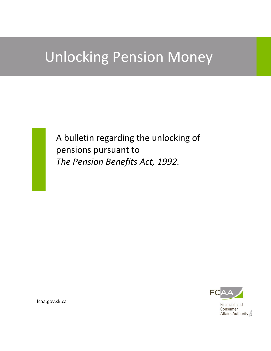# Unlocking Pension Money

A bulletin regarding the unlocking of pensions pursuant to *The Pension Benefits Act, 1992.*



Financial and Consumer Affairs Authority

fcaa.gov.sk.ca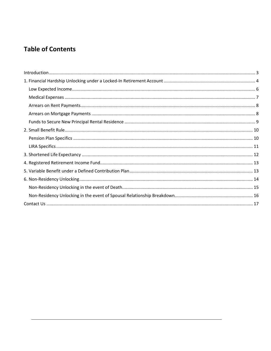## **Table of Contents**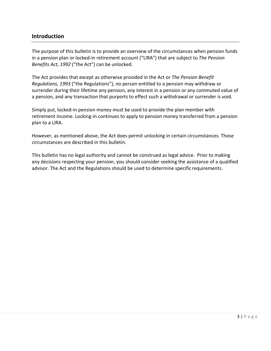## <span id="page-2-0"></span>**Introduction**

The purpose of this bulletin is to provide an overview of the circumstances when pension funds in a pension plan or locked-in retirement account ("LIRA") that are subject to *The Pension Benefits Act, 1992* ("the Act") can be unlocked.

The Act provides that except as otherwise provided in the Act or *The Pension Benefit Regulations, 1993* ("the Regulations"), no person entitled to a pension may withdraw or surrender during their lifetime any pension, any interest in a pension or any commuted value of a pension, and any transaction that purports to effect such a withdrawal or surrender is void.

Simply put, locked-in pension money must be used to provide the plan member with retirement income. Locking-in continues to apply to pension money transferred from a pension plan to a LIRA.

However, as mentioned above, the Act does permit unlocking in certain circumstances. Those circumstances are described in this bulletin.

This bulletin has no legal authority and cannot be construed as legal advice. Prior to making any decisions respecting your pension, you should consider seeking the assistance of a qualified advisor. The Act and the Regulations should be used to determine specific requirements.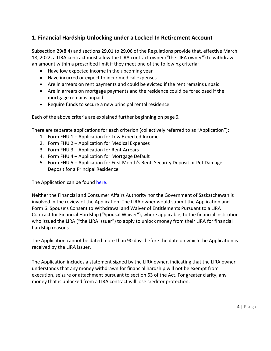## <span id="page-3-0"></span>**1. Financial Hardship Unlocking under a Locked-In Retirement Account**

Subsection 29(8.4) and sections 29.01 to 29.06 of the Regulations provide that, effective March 18, 2022, a LIRA contract must allow the LIRA contract owner ("the LIRA owner") to withdraw an amount within a prescribed limit if they meet one of the following criteria:

- Have low expected income in the upcoming year
- Have incurred or expect to incur medical expenses
- Are in arrears on rent payments and could be evicted if the rent remains unpaid
- Are in arrears on mortgage payments and the residence could be foreclosed if the mortgage remains unpaid
- Require funds to secure a new principal rental residence

Each of the above criteria are explained further beginning on page 6.

There are separate applications for each criterion (collectively referred to as "Application"):

- 1. Form FHU 1 Application for Low Expected Income
- 2. Form FHU 2 Application for Medical Expenses
- 3. Form FHU 3 Application for Rent Arrears
- 4. Form FHU 4 Application for Mortgage Default
- 5. Form FHU 5 Application for First Month's Rent, Security Deposit or Pet Damage Deposit for a Principal Residence

The Application can be found [here.](https://fcaa.gov.sk.ca/)

Neither the Financial and Consumer Affairs Authority nor the Government of Saskatchewan is involved in the review of the Application. The LIRA owner would submit the Application and Form 6: Spouse's Consent to Withdrawal and Waiver of Entitlements Pursuant to a LIRA Contract for Financial Hardship ("Spousal Waiver"), where applicable, to the financial institution who issued the LIRA ("the LIRA issuer") to apply to unlock money from their LIRA for financial hardship reasons.

The Application cannot be dated more than 90 days before the date on which the Application is received by the LIRA issuer.

The Application includes a statement signed by the LIRA owner, indicating that the LIRA owner understands that any money withdrawn for financial hardship will not be exempt from execution, seizure or attachment pursuant to section 63 of the Act. For greater clarity, any money that is unlocked from a LIRA contract will lose creditor protection.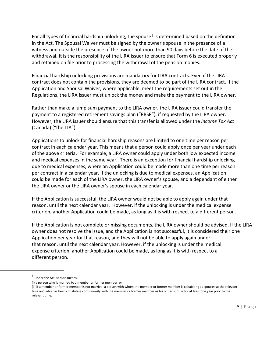For all types of financial hardship unlocking, the spouse<sup>[1](#page-4-0)</sup> is determined based on the definition in the Act. The Spousal Waiver must be signed by the owner's spouse in the presence of a witness and outside the presence of the owner not more than 90 days before the date of the withdrawal. It is the responsibility of the LIRA issuer to ensure that Form 6 is executed properly and retained on file prior to processing the withdrawal of the pension monies.

Financial hardship unlocking provisions are mandatory for LIRA contracts. Even if the LIRA contract does not contain the provisions, they are deemed to be part of the LIRA contract. If the Application and Spousal Waiver, where applicable, meet the requirements set out in the Regulations, the LIRA issuer must unlock the money and make the payment to the LIRA owner.

Rather than make a lump sum payment to the LIRA owner, the LIRA issuer could transfer the payment to a registered retirement savings plan ("RRSP"), if requested by the LIRA owner. However, the LIRA issuer should ensure that this transfer is allowed under the *Income Tax Act* (Canada) ("the ITA").

Applications to unlock for financial hardship reasons are limited to one time per reason per contract in each calendar year. This means that a person could apply once per year under each of the above criteria. For example, a LIRA owner could apply under both low expected income and medical expenses in the same year. There is an exception for financial hardship unlocking due to medical expenses, where an Application could be made more than one time per reason per contract in a calendar year. If the unlocking is due to medical expenses, an Application could be made for each of the LIRA owner, the LIRA owner's spouse, and a dependant of either the LIRA owner or the LIRA owner's spouse in each calendar year.

If the Application is successful, the LIRA owner would not be able to apply again under that reason, until the next calendar year. However, if the unlocking is under the medical expense criterion, another Application could be made, as long as it is with respect to a different person.

If the Application is not complete or missing documents, the LIRA owner should be advised. If the LIRA owner does not resolve the issue, and the Application is not successful, it is considered their one Application per year for that reason, and they will not be able to apply again under that reason, until the next calendar year. However, if the unlocking is under the medical expense criterion, another Application could be made, as long as it is with respect to a different person.

<span id="page-4-0"></span> $<sup>1</sup>$  Under the Act, spouse means:</sup>

<sup>(</sup>i) a person who is married to a member or former member; or

<sup>(</sup>ii) if a member or former member is not married, a person with whom the member or former member is cohabiting as spouses at the relevant time and who has been cohabiting continuously with the member or former member as his or her spouse for at least one year prior to the relevant time.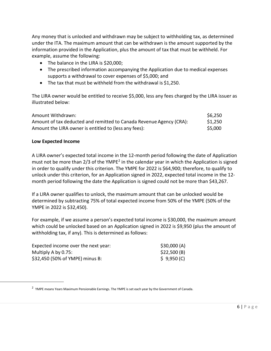Any money that is unlocked and withdrawn may be subject to withholding tax, as determined under the ITA. The maximum amount that can be withdrawn is the amount supported by the information provided in the Application, plus the amount of tax that must be withheld. For example, assume the following:

- The balance in the LIRA is \$20,000;
- The prescribed information accompanying the Application due to medical expenses supports a withdrawal to cover expenses of \$5,000; and
- The tax that must be withheld from the withdrawal is \$1,250.

The LIRA owner would be entitled to receive \$5,000, less any fees charged by the LIRA issuer as illustrated below:

| Amount Withdrawn:                                                   | \$6,250 |
|---------------------------------------------------------------------|---------|
| Amount of tax deducted and remitted to Canada Revenue Agency (CRA): | \$1,250 |
| Amount the LIRA owner is entitled to (less any fees):               | \$5,000 |

#### <span id="page-5-0"></span>**Low Expected Income**

A LIRA owner's expected total income in the 12-month period following the date of Application must not be more than  $2/3$  of the YMPE<sup>2</sup> in the calendar year in which the Application is signed in order to qualify under this criterion. The YMPE for 2022 is \$64,900; therefore, to qualify to unlock under this criterion, for an Application signed in 2022, expected total income in the 12 month period following the date the Application is signed could not be more than \$43,267.

If a LIRA owner qualifies to unlock, the maximum amount that can be unlocked would be determined by subtracting 75% of total expected income from 50% of the YMPE (50% of the YMPE in 2022 is \$32,450).

For example, if we assume a person's expected total income is \$30,000, the maximum amount which could be unlocked based on an Application signed in 2022 is \$9,950 (plus the amount of withholding tax, if any). This is determined as follows:

| Expected income over the next year: | \$30,000(A) |
|-------------------------------------|-------------|
| Multiply A by 0.75:                 | \$22,500(B) |
| \$32,450 (50% of YMPE) minus B:     | \$9,950(C)  |

<span id="page-5-1"></span><sup>&</sup>lt;sup>2</sup> YMPE means Years Maximum Pensionable Earnings. The YMPE is set each year by the Government of Canada.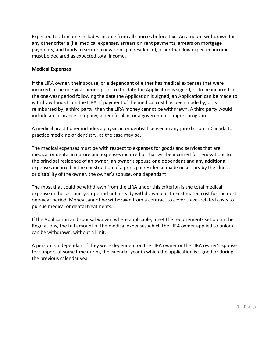Expected total income includes income from all sources before tax. An amount withdrawn for any other criteria (i.e. medical expenses, arrears on rent payments, arrears on mortgage payments, and funds to secure a new principal residence), other than low expected income, must be declared as expected total income.

#### <span id="page-6-0"></span>**Medical Expenses**

If the LIRA owner, their spouse, or a dependant of either has medical expenses that were incurred in the one-year period prior to the date the Application is signed, or to be incurred in the one-year period following the date the Application is signed, an Application can be made to withdraw funds from the LIRA. If payment of the medical cost has been made by, or is reimbursed by, a third party, then the LIRA money cannot be withdrawn. A third party would include an insurance company, a benefit plan, or a government support program.

A medical practitioner includes a physician or dentist licensed in any jurisdiction in Canada to practice medicine or dentistry, as the case may be.

The medical expenses must be with respect to expenses for goods and services that are medical or dental in nature and expenses incurred or that will be incurred for renovations to the principal residence of an owner, an owner's spouse or a dependant and any additional expenses incurred in the construction of a principal residence made necessary by the illness or disability of the owner, the owner's spouse, or a dependant.

The most that could be withdrawn from the LIRA under this criterion is the total medical expense in the last one-year period not already withdrawn plus the estimated cost for the next one-year period. Money cannot be withdrawn from a contract to cover travel-related costs to pursue medical or dental treatments.

If the Application and spousal waiver, where applicable, meet the requirements set out in the Regulations, the full amount of the medical expenses which the LIRA owner applied to unlock can be withdrawn, without a limit.

A person is a dependant if they were dependent on the LIRA owner or the LIRA owner's spouse for support at some time during the calendar year in which the application is signed or during the previous calendar year.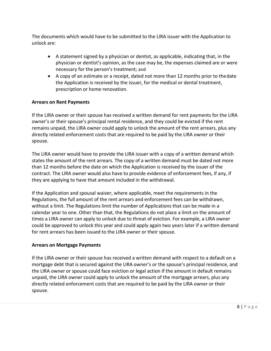The documents which would have to be submitted to the LIRA issuer with the Application to unlock are:

- A statement signed by a physician or dentist, as applicable, indicating that, in the physician or dentist's opinion, as the case may be, the expenses claimed are or were necessary for the person's treatment; and
- A copy of an estimate or a receipt, dated not more than 12 months prior to thedate the Application is received by the issuer, for the medical or dental treatment, prescription or home renovation.

## <span id="page-7-0"></span>**Arrears on Rent Payments**

If the LIRA owner or their spouse has received a written demand for rent payments for the LIRA owner's or their spouse's principal rental residence, and they could be evicted if the rent remains unpaid, the LIRA owner could apply to unlock the amount of the rent arrears, plus any directly related enforcement costs that are required to be paid by the LIRA owner or their spouse.

The LIRA owner would have to provide the LIRA issuer with a copy of a written demand which states the amount of the rent arrears. The copy of a written demand must be dated not more than 12 months before the date on which the Application is received by the issuer of the contract. The LIRA owner would also have to provide evidence of enforcement fees, if any, if they are applying to have that amount included in the withdrawal.

If the Application and spousal waiver, where applicable, meet the requirements in the Regulations, the full amount of the rent arrears and enforcement fees can be withdrawn, without a limit. The Regulations limit the number of Applications that can be made in a calendar year to one. Other than that, the Regulations do not place a limit on the amount of times a LIRA owner can apply to unlock due to threat of eviction. For example, a LIRA owner could be approved to unlock this year and could apply again two years later if a written demand for rent arrears has been issued to the LIRA owner or their spouse.

## <span id="page-7-1"></span>**Arrears on Mortgage Payments**

If the LIRA owner or their spouse has received a written demand with respect to a default on a mortgage debt that is secured against the LIRA owner's or the spouse's principal residence, and the LIRA owner or spouse could face eviction or legal action if the amount in default remains unpaid, the LIRA owner could apply to unlock the amount of the mortgage arrears, plus any directly related enforcement costs that are required to be paid by the LIRA owner or their spouse.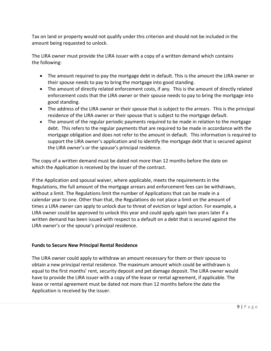Tax on land or property would not qualify under this criterion and should not be included in the amount being requested to unlock.

The LIRA owner must provide the LIRA issuer with a copy of a written demand which contains the following:

- The amount required to pay the mortgage debt in default. This is the amount the LIRA owner or their spouse needs to pay to bring the mortgage into good standing.
- The amount of directly related enforcement costs, if any. This is the amount of directly related enforcement costs that the LIRA owner or their spouse needs to pay to bring the mortgage into good standing.
- The address of the LIRA owner or their spouse that is subject to the arrears. This is the principal residence of the LIRA owner or their spouse that is subject to the mortgage default.
- The amount of the regular periodic payments required to be made in relation to the mortgage debt. This refers to the regular payments that are required to be made in accordance with the mortgage obligation and does not refer to the amount in default. This information is required to support the LIRA owner's application and to identify the mortgage debt that is secured against the LIRA owner's or the spouse's principal residence.

The copy of a written demand must be dated not more than 12 months before the date on which the Application is received by the issuer of the contract.

If the Application and spousal waiver, where applicable, meets the requirements in the Regulations, the full amount of the mortgage arrears and enforcement fees can be withdrawn, without a limit. The Regulations limit the number of Applications that can be made in a calendar year to one. Other than that, the Regulations do not place a limit on the amount of times a LIRA owner can apply to unlock due to threat of eviction or legal action. For example, a LIRA owner could be approved to unlock this year and could apply again two years later if a written demand has been issued with respect to a default on a debt that is secured against the LIRA owner's or the spouse's principal residence.

## <span id="page-8-0"></span>**Funds to Secure New Principal Rental Residence**

The LIRA owner could apply to withdraw an amount necessary for them or their spouse to obtain a new principal rental residence. The maximum amount which could be withdrawn is equal to the first months' rent, security deposit and pet damage deposit. The LIRA owner would have to provide the LIRA issuer with a copy of the lease or rental agreement, if applicable. The lease or rental agreement must be dated not more than 12 months before the date the Application is received by the issuer.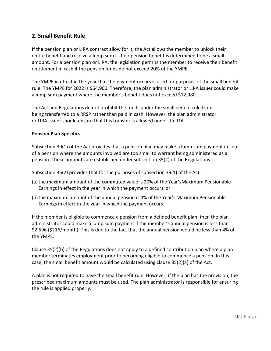## <span id="page-9-0"></span>**2. Small Benefit Rule**

If the pension plan or LIRA contract allow for it, the Act allows the member to unlock their entire benefit and receive a lump sum if their pension benefit is determined to be a small amount. For a pension plan or LIRA, the legislation permits the member to receive their benefit entitlement in cash if the pension funds do not exceed 20% of the YMPE.

The YMPE in effect in the year that the payment occurs is used for purposes of the small benefit rule. The YMPE for 2022 is \$64,900. Therefore, the plan administrator or LIRA issuer could make a lump sum payment where the member's benefit does not exceed \$12,980.

The Act and Regulations do not prohibit the funds under the small benefit rule from being transferred to a RRSP rather than paid in cash. However, the plan administrator or LIRA issuer should ensure that this transfer is allowed under the ITA.

## <span id="page-9-1"></span>**Pension Plan Specifics**

Subsection 39(1) of the Act provides that a pension plan may make a lump sum payment in lieu of a pension where the amounts involved are too small to warrant being administered as a pension. Those amounts are established under subsection 35(2) of the Regulations:

Subsection 35(2) provides that for the purposes of subsection 39(1) of the Act:

- (a)the maximum amount of the commuted value is 20% of the Year'sMaximum Pensionable Earnings in effect in the year in which the payment occurs; or
- (b)the maximum amount of the annual pension is 4% of the Year's Maximum Pensionable Earnings in effect in the year in which the payment occurs.

If the member is eligible to commence a pension from a defined benefit plan, then the plan administrator could make a lump sum payment if the member's annual pension is less than \$2,596 (\$216/month). This is due to the fact that the annual pension would be less than 4% of the YMPE.

Clause 35(2)(b) of the Regulations does not apply to a defined contribution plan where a plan member terminates employment prior to becoming eligible to commence a pension. In this case, the small benefit amount would be calculated using clause 35(2)(a) of the Act.

A plan is not required to have the small benefit rule. However, if the plan has the provision, the prescribed maximum amounts must be used. The plan administrator is responsible for ensuring the rule is applied properly.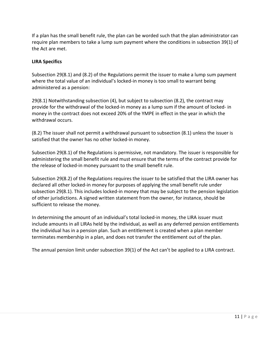If a plan has the small benefit rule, the plan can be worded such that the plan administrator can require plan members to take a lump sum payment where the conditions in subsection 39(1) of the Act are met.

## <span id="page-10-0"></span>**LIRA Specifics**

Subsection 29(8.1) and (8.2) of the Regulations permit the issuer to make a lump sum payment where the total value of an individual's locked-in money is too small to warrant being administered as a pension:

29(8.1) Notwithstanding subsection (4), but subject to subsection (8.2), the contract may provide for the withdrawal of the locked-in money as a lump sum if the amount of locked- in money in the contract does not exceed 20% of the YMPE in effect in the year in which the withdrawal occurs.

(8.2) The issuer shall not permit a withdrawal pursuant to subsection (8.1) unless the issuer is satisfied that the owner has no other locked-in money.

Subsection 29(8.1) of the Regulations is permissive, not mandatory. The issuer is responsible for administering the small benefit rule and must ensure that the terms of the contract provide for the release of locked-in money pursuant to the small benefit rule.

Subsection 29(8.2) of the Regulations requires the issuer to be satisfied that the LIRA owner has declared all other locked-in money for purposes of applying the small benefit rule under subsection 29(8.1). This includes locked-in money that may be subject to the pension legislation of other jurisdictions. A signed written statement from the owner, for instance, should be sufficient to release the money.

In determining the amount of an individual's total locked-in money, the LIRA issuer must include amounts in all LIRAs held by the individual, as well as any deferred pension entitlements the individual has in a pension plan. Such an entitlement is created when a plan member terminates membership in a plan, and does not transfer the entitlement out of the plan.

The annual pension limit under subsection 39(1) of the Act can't be applied to a LIRA contract.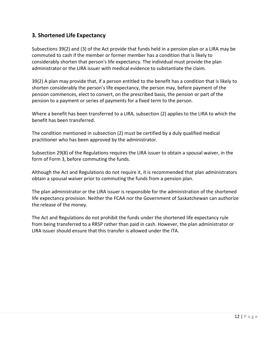## <span id="page-11-0"></span>**3. Shortened Life Expectancy**

Subsections 39(2) and (3) of the Act provide that funds held in a pension plan or a LIRA may be commuted to cash if the member or former member has a condition that is likely to considerably shorten that person's life expectancy. The individual must provide the plan administrator or the LIRA issuer with medical evidence to substantiate the claim.

39(2) A plan may provide that, if a person entitled to the benefit has a condition that is likely to shorten considerably the person's life expectancy, the person may, before payment of the pension commences, elect to convert, on the prescribed basis, the pension or part of the pension to a payment or series of payments for a fixed term to the person.

Where a benefit has been transferred to a LIRA, subsection (2) applies to the LIRA to which the benefit has been transferred.

The condition mentioned in subsection (2) must be certified by a duly qualified medical practitioner who has been approved by the administrator.

Subsection 29(8) of the Regulations requires the LIRA issuer to obtain a spousal waiver, in the form of Form 3, before commuting the funds.

Although the Act and Regulations do not require it, it is recommended that plan administrators obtain a spousal waiver prior to commuting the funds from a pension plan.

The plan administrator or the LIRA issuer is responsible for the administration of the shortened life expectancy provision. Neither the FCAA nor the Government of Saskatchewan can authorize the release of the money.

The Act and Regulations do not prohibit the funds under the shortened life expectancy rule from being transferred to a RRSP rather than paid in cash. However, the plan administrator or LIRA issuer should ensure that this transfer is allowed under the ITA.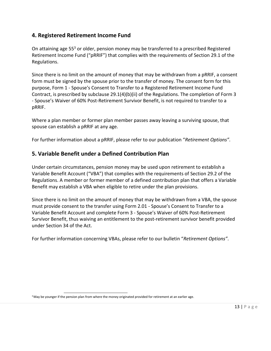## <span id="page-12-0"></span>**4. Registered Retirement Income Fund**

On attaining age 55<sup>3</sup> or older, pension money may be transferred to a prescribed Registered Retirement Income Fund ("pRRIF") that complies with the requirements of Section 29.1 of the Regulations.

Since there is no limit on the amount of money that may be withdrawn from a pRRIF, a consent form must be signed by the spouse prior to the transfer of money. The consent form for this purpose, Form 1 - Spouse's Consent to Transfer to a Registered Retirement Income Fund Contract, is prescribed by subclause 29.1(4)(b)(ii) of the Regulations. The completion of Form 3 - Spouse's Waiver of 60% Post-Retirement Survivor Benefit, is not required to transfer to a pRRIF.

Where a plan member or former plan member passes away leaving a surviving spouse, that spouse can establish a pRRIF at any age.

For further information about a pRRIF, please refer to our publication "*Retirement Options"*.

## <span id="page-12-1"></span>**5. Variable Benefit under a Defined Contribution Plan**

Under certain circumstances, pension money may be used upon retirement to establish a Variable Benefit Account ("VBA") that complies with the requirements of Section 29.2 of the Regulations. A member or former member of a defined contribution plan that offers a Variable Benefit may establish a VBA when eligible to retire under the plan provisions.

Since there is no limit on the amount of money that may be withdrawn from a VBA, the spouse must provide consent to the transfer using Form 2.01 - Spouse's Consent to Transfer to a Variable Benefit Account and complete Form 3 - Spouse's Waiver of 60% Post-Retirement Survivor Benefit, thus waiving an entitlement to the post-retirement survivor benefit provided under Section 34 of the Act.

For further information concerning VBAs, please refer to our bulletin "*Retirement Options"*.

<span id="page-12-2"></span><sup>&</sup>lt;sup>3</sup> May be younger if the pension plan from where the money originated provided for retirement at an earlier age.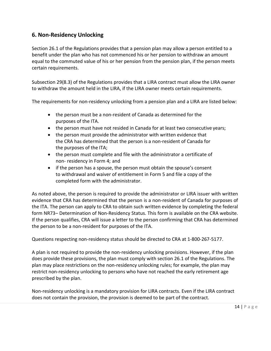## <span id="page-13-0"></span>**6. Non-Residency Unlocking**

Section 26.1 of the Regulations provides that a pension plan may allow a person entitled to a benefit under the plan who has not commenced his or her pension to withdraw an amount equal to the commuted value of his or her pension from the pension plan, if the person meets certain requirements.

Subsection 29(8.3) of the Regulations provides that a LIRA contract must allow the LIRA owner to withdraw the amount held in the LIRA, if the LIRA owner meets certain requirements.

The requirements for non-residency unlocking from a pension plan and a LIRA are listed below:

- the person must be a non-resident of Canada as determined for the purposes of the ITA.
- the person must have not resided in Canada for at least two consecutive years;
- the person must provide the administrator with written evidence that the CRA has determined that the person is a non-resident of Canada for the purposes of the ITA;
- the person must complete and file with the administrator a certificate of non- residency in Form 4; and
- if the person has a spouse, the person must obtain the spouse's consent to withdrawal and waiver of entitlement in Form 5 and file a copy of the completed form with the administrator.

As noted above, the person is required to provide the administrator or LIRA issuer with written evidence that CRA has determined that the person is a non-resident of Canada for purposes of the ITA. The person can apply to CRA to obtain such written evidence by completing the federal form NR73– Determination of Non-Residency Status. This form is available on the CRA website. If the person qualifies, CRA will issue a letter to the person confirming that CRA has determined the person to be a non-resident for purposes of the ITA.

Questions respecting non-residency status should be directed to CRA at 1-800-267-5177.

A plan is not required to provide the non-residency unlocking provisions. However, if the plan does provide these provisions, the plan must comply with section 26.1 of the Regulations. The plan may place restrictions on the non-residency unlocking rules; for example, the plan may restrict non-residency unlocking to persons who have not reached the early retirement age prescribed by the plan.

Non-residency unlocking is a mandatory provision for LIRA contracts. Even if the LIRA contract does not contain the provision, the provision is deemed to be part of the contract.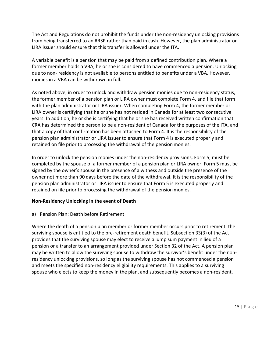The Act and Regulations do not prohibit the funds under the non-residency unlocking provisions from being transferred to an RRSP rather than paid in cash. However, the plan administrator or LIRA issuer should ensure that this transfer is allowed under the ITA.

A variable benefit is a pension that may be paid from a defined contribution plan. Where a former member holds a VBA, he or she is considered to have commenced a pension. Unlocking due to non- residency is not available to persons entitled to benefits under a VBA. However, monies in a VBA can be withdrawn in full.

As noted above, in order to unlock and withdraw pension monies due to non-residency status, the former member of a pension plan or LIRA owner must complete Form 4, and file that form with the plan administrator or LIRA issuer. When completing Form 4, the former member or LIRA owner is certifying that he or she has not resided in Canada for at least two consecutive years. In addition, he or she is certifying that he or she has received written confirmation that CRA has determined the person to be a non-resident of Canada for the purposes of the ITA, and that a copy of that confirmation has been attached to Form 4. It is the responsibility of the pension plan administrator or LIRA issuer to ensure that Form 4 is executed properly and retained on file prior to processing the withdrawal of the pension monies.

In order to unlock the pension monies under the non-residency provisions, Form 5, must be completed by the spouse of a former member of a pension plan or LIRA owner. Form 5 must be signed by the owner's spouse in the presence of a witness and outside the presence of the owner not more than 90 days before the date of the withdrawal. It is the responsibility of the pension plan administrator or LIRA issuer to ensure that Form 5 is executed properly and retained on file prior to processing the withdrawal of the pension monies.

## <span id="page-14-0"></span>**Non-Residency Unlocking in the event of Death**

a) Pension Plan: Death before Retirement

Where the death of a pension plan member or former member occurs prior to retirement, the surviving spouse is entitled to the pre-retirement death benefit. Subsection 33(3) of the Act provides that the surviving spouse may elect to receive a lump sum payment in lieu of a pension or a transfer to an arrangement provided under Section 32 of the Act. A pension plan may be written to allow the surviving spouse to withdraw the survivor's benefit under the nonresidency unlocking provisions, so long as the surviving spouse has not commenced a pension and meets the specified non-residency eligibility requirements. This applies to a surviving spouse who elects to keep the money in the plan, and subsequently becomes a non-resident.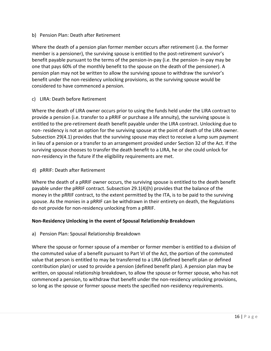#### b) Pension Plan: Death after Retirement

Where the death of a pension plan former member occurs after retirement (i.e. the former member is a pensioner), the surviving spouse is entitled to the post-retirement survivor's benefit payable pursuant to the terms of the pension-in-pay (i.e. the pension- in-pay may be one that pays 60% of the monthly benefit to the spouse on the death of the pensioner). A pension plan may not be written to allow the surviving spouse to withdraw the survivor's benefit under the non-residency unlocking provisions, as the surviving spouse would be considered to have commenced a pension.

#### c) LIRA: Death before Retirement

Where the death of LIRA owner occurs prior to using the funds held under the LIRA contract to provide a pension (i.e. transfer to a pRRIF or purchase a life annuity), the surviving spouse is entitled to the pre-retirement death benefit payable under the LIRA contract. Unlocking due to non- residency is not an option for the surviving spouse at the point of death of the LIRA owner. Subsection 29(4.1) provides that the surviving spouse may elect to receive a lump sum payment in lieu of a pension or a transfer to an arrangement provided under Section 32 of the Act. If the surviving spouse chooses to transfer the death benefit to a LIRA, he or she could unlock for non-residency in the future if the eligibility requirements are met.

#### d) pRRIF: Death after Retirement

Where the death of a pRRIF owner occurs, the surviving spouse is entitled to the death benefit payable under the pRRIF contract. Subsection 29.1(4)(h) provides that the balance of the money in the pRRIF contract, to the extent permitted by the ITA, is to be paid to the surviving spouse. As the monies in a pRRIF can be withdrawn in their entirety on death, the Regulations do not provide for non-residency unlocking from a pRRIF.

#### <span id="page-15-0"></span>**Non-Residency Unlocking in the event of Spousal Relationship Breakdown**

a) Pension Plan: Spousal Relationship Breakdown

Where the spouse or former spouse of a member or former member is entitled to a division of the commuted value of a benefit pursuant to Part VI of the Act, the portion of the commuted value that person is entitled to may be transferred to a LIRA (defined benefit plan or defined contribution plan) or used to provide a pension (defined benefit plan). A pension plan may be written, on spousal relationship breakdown, to allow the spouse or former spouse, who has not commenced a pension, to withdraw that benefit under the non-residency unlocking provisions, so long as the spouse or former spouse meets the specified non-residency requirements.